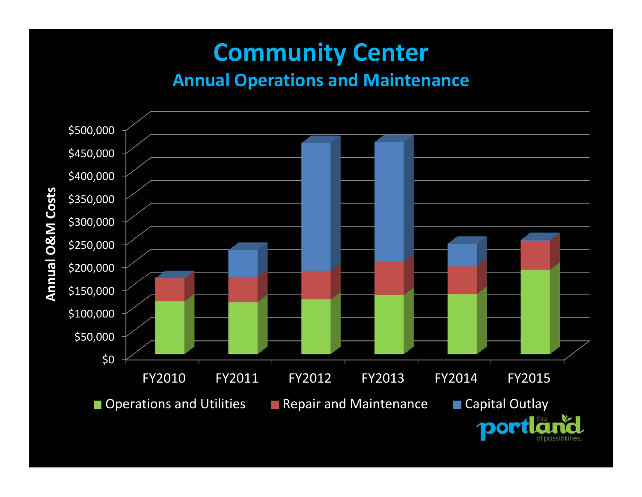### **Community Center Annual Operations and Maintenance**

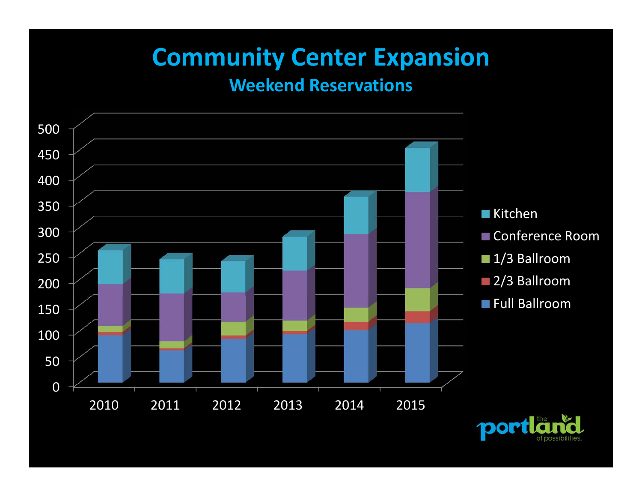## **Community Center Expansion**

#### **Weekend Reservations**

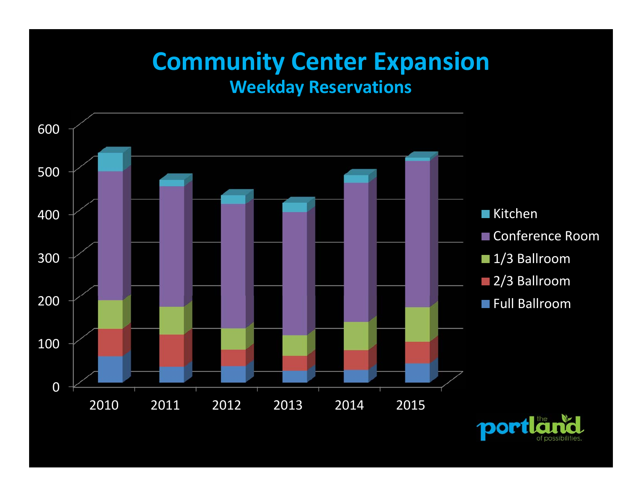#### **Community Center Expansion Weekday Reservations**

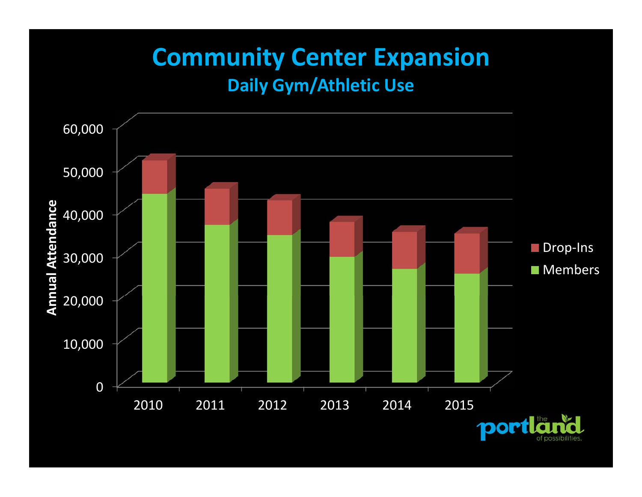### **Community Center Expansion Daily Gym/Athletic Use**

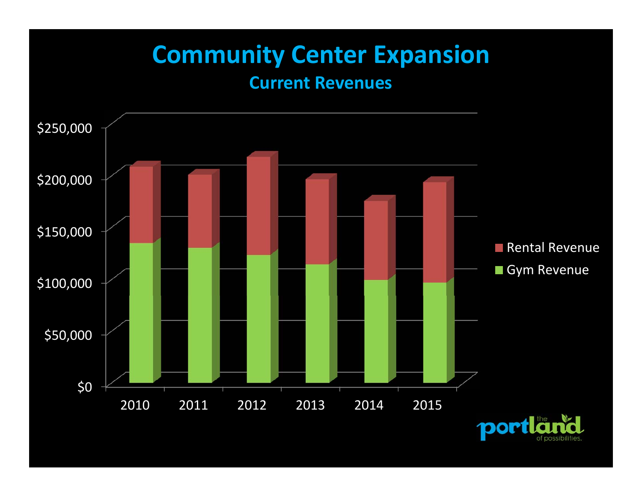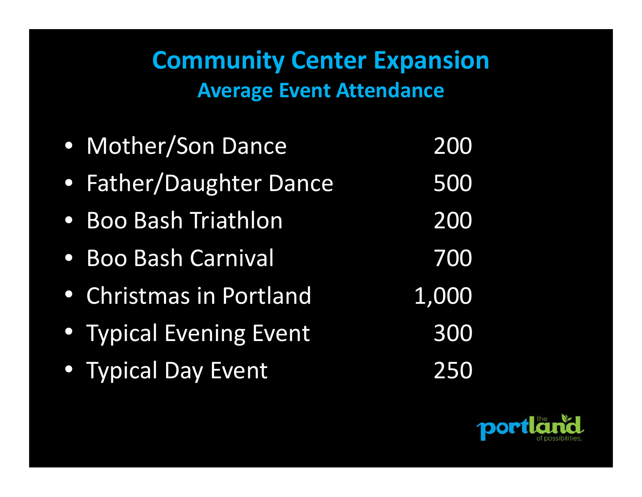## **Community Center Expansion Average Event Attendance**

| • Mother/Son Dance      | 200   |
|-------------------------|-------|
| • Father/Daughter Dance | 500   |
| • Boo Bash Triathlon    | 200   |
| • Boo Bash Carnival     | 700   |
| • Christmas in Portland | 1,000 |
| • Typical Evening Event | 300   |
| · Typical Day Event     | 250   |

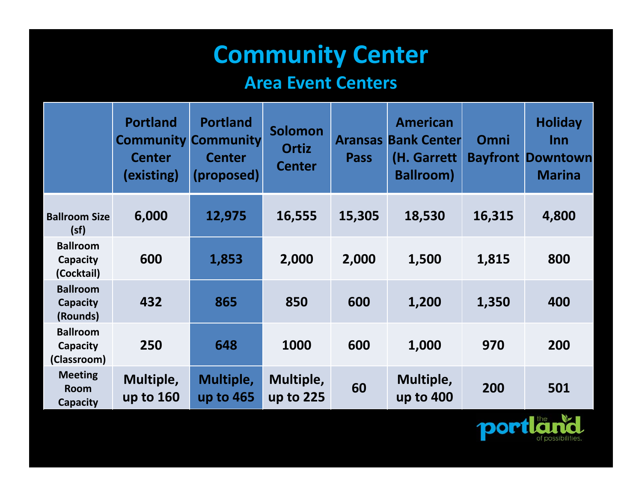# **Community Center**

#### **Area Event Centers**

|                                            | <b>Portland</b><br><b>Community Community</b><br><b>Center</b><br>(existing) | <b>Portland</b><br><b>Center</b><br>(proposed) | <b>Solomon</b><br><b>Ortiz</b><br><b>Center</b> | <b>Aransas</b><br><b>Pass</b> | <b>American</b><br><b>Bank Center</b><br>(H. Garrett<br><b>Ballroom)</b> | Omni   | <b>Holiday</b><br>Inn<br><b>Bayfront Downtown</b><br><b>Marina</b> |
|--------------------------------------------|------------------------------------------------------------------------------|------------------------------------------------|-------------------------------------------------|-------------------------------|--------------------------------------------------------------------------|--------|--------------------------------------------------------------------|
| <b>Ballroom Size</b><br>(sf)               | 6,000                                                                        | 12,975                                         | 16,555                                          | 15,305                        | 18,530                                                                   | 16,315 | 4,800                                                              |
| <b>Ballroom</b><br>Capacity<br>(Cocktail)  | 600                                                                          | 1,853                                          | 2,000                                           | 2,000                         | 1,500                                                                    | 1,815  | 800                                                                |
| <b>Ballroom</b><br>Capacity<br>(Rounds)    | 432                                                                          | 865                                            | 850                                             | 600                           | 1,200                                                                    | 1,350  | 400                                                                |
| <b>Ballroom</b><br>Capacity<br>(Classroom) | 250                                                                          | 648                                            | 1000                                            | 600                           | 1,000                                                                    | 970    | 200                                                                |
| <b>Meeting</b><br>Room<br>Capacity         | Multiple,<br>up to 160                                                       | Multiple,<br>up to 465                         | Multiple,<br>up to 225                          | 60                            | Multiple,<br>up to 400                                                   | 200    | 501                                                                |